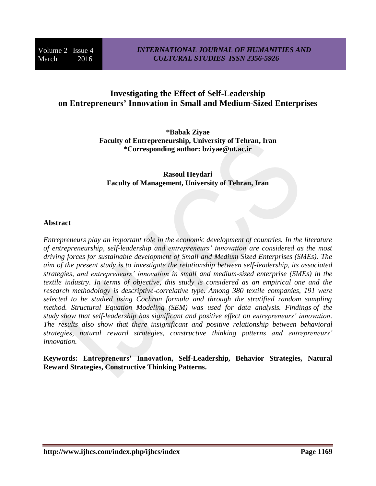# **Investigating the Effect of Self-Leadership on Entrepreneurs' Innovation in Small and Medium-Sized Enterprises**

**\*Babak Ziyae Faculty of Entrepreneurship, University of Tehran, Iran \*Corresponding author: bziyae@ut.ac.ir**

# **Rasoul Heydari Faculty of Management, University of Tehran, Iran**

# **Abstract**

*Entrepreneurs play an important role in the economic development of countries. In the literature of entrepreneurship, self-leadership and entrepreneurs' innovation are considered as the most driving forces for sustainable development of Small and Medium Sized Enterprises (SMEs). The aim of the present study is to investigate the relationship between self-leadership, its associated strategies, and entrepreneurs' innovation in small and medium-sized enterprise (SMEs) in the textile industry. In terms of objective, this study is considered as an empirical one and the research methodology is descriptive-correlative type. Among 380 textile companies, 191 were selected to be studied using Cochran formula and through the stratified random sampling method. Structural Equation Modeling (SEM) was used for data analysis. Findings of the study show that self-leadership has significant and positive effect on entrepreneurs' innovation. The results also show that there insignificant and positive relationship between behavioral strategies, natural reward strategies, constructive thinking patterns and entrepreneurs' innovation.*

**Keywords: Entrepreneurs' Innovation, Self-Leadership, Behavior Strategies, Natural Reward Strategies, Constructive Thinking Patterns.**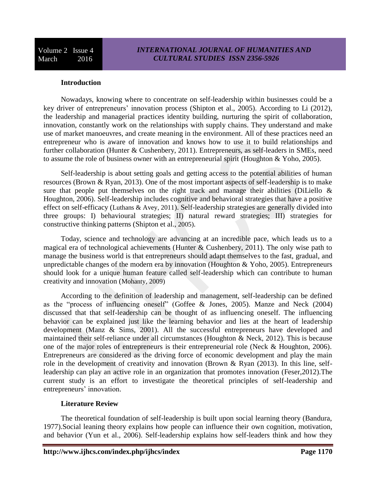## **Introduction**

Nowadays, knowing where to concentrate on self-leadership within businesses could be a key driver of entrepreneurs' innovation process (Shipton et al., 2005). According to Li (2012), the leadership and managerial practices identity building, nurturing the spirit of collaboration, innovation, constantly work on the relationships with supply chains. They understand and make use of market manoeuvres, and create meaning in the environment. All of these practices need an entrepreneur who is aware of innovation and knows how to use it to build relationships and further collaboration (Hunter & Cushenbery, 2011). Entrepreneurs, as self-leaders in SMEs, need to assume the role of business owner with an entrepreneurial spirit (Houghton & Yoho, 2005).

Self-leadership is about setting goals and getting access to the potential abilities of human resources (Brown & Ryan, 2013). One of the most important aspects of self-leadership is to make sure that people put themselves on the right track and manage their abilities (DiLiello & Houghton, 2006). Self-leadership includes cognitive and behavioral strategies that have a positive effect on self-efficacy (Luthans & Avey, 2011). Self-leadership strategies are generally divided into three groups: I) behavioural strategies; II) natural reward strategies; III) strategies for constructive thinking patterns (Shipton et al., 2005).

Today, science and technology are advancing at an incredible pace, which leads us to a magical era of technological achievements (Hunter  $&$  Cushenbery, 2011). The only wise path to manage the business world is that entrepreneurs should adapt themselves to the fast, gradual, and unpredictable changes of the modern era by innovation (Houghton  $& Yoho, 2005$ ). Entrepreneurs should look for a unique human feature called self-leadership which can contribute to human creativity and innovation (Mohanty, 2009)

According to the definition of leadership and management, self-leadership can be defined as the "process of influencing oneself" (Goffee & Jones, 2005). Manze and Neck (2004) discussed that that self-leadership can be thought of as influencing oneself. The influencing behavior can be explained just like the learning behavior and lies at the heart of leadership development (Manz & Sims, 2001). All the successful entrepreneurs have developed and maintained their self-reliance under all circumstances (Houghton & Neck, 2012). This is because one of the major roles of entrepreneurs is their entrepreneurial role (Neck & Houghton, 2006). Entrepreneurs are considered as the driving force of economic development and play the main role in the development of creativity and innovation (Brown & Ryan (2013). In this line, selfleadership can play an active role in an organization that promotes innovation (Feser,2012).The current study is an effort to investigate the theoretical principles of self-leadership and entrepreneurs' innovation.

### **Literature Review**

The theoretical foundation of self-leadership is built upon social learning theory (Bandura, 1977).Social leaning theory explains how people can influence their own cognition, motivation, and behavior (Yun et al., 2006). Self-leadership explains how self-leaders think and how they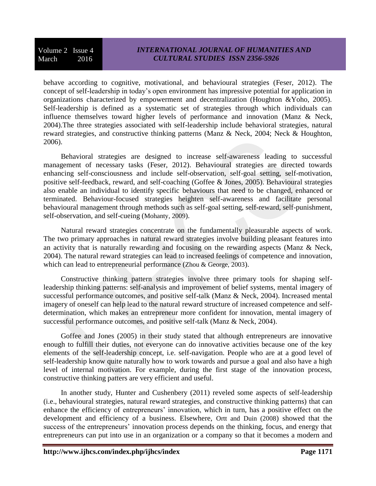# *INTERNATIONAL JOURNAL OF HUMANITIES AND CULTURAL STUDIES ISSN 2356-5926*

behave according to cognitive, motivational, and behavioural strategies (Feser, 2012). The concept of self-leadership in today's open environment has impressive potential for application in organizations characterized by empowerment and decentralization (Houghton &Yoho, 2005). Self-leadership is defined as a systematic set of strategies through which individuals can influence themselves toward higher levels of performance and innovation (Manz & Neck, 2004).The three strategies associated with self-leadership include behavioral strategies, natural reward strategies, and constructive thinking patterns (Manz & Neck, 2004; Neck & Houghton, 2006).

Behavioral strategies are designed to increase self-awareness leading to successful management of necessary tasks (Feser, 2012). Behavioural strategies are directed towards enhancing self-consciousness and include self-observation, self-goal setting, self-motivation, positive self-feedback, reward, and self-coaching (Goffee & Jones, 2005). Behavioural strategies also enable an individual to identify specific behaviours that need to be changed, enhanced or terminated. Behaviour-focused strategies heighten self-awareness and facilitate personal behavioural management through methods such as self-goal setting, self-reward, self-punishment, self-observation, and self-cueing (Mohanty, 2009).

Natural reward strategies concentrate on the fundamentally pleasurable aspects of work. The two primary approaches in natural reward strategies involve building pleasant features into an activity that is naturally rewarding and focusing on the rewarding aspects (Manz & Neck, 2004). The natural reward strategies can lead to increased feelings of competence and innovation, which can lead to entrepreneurial performance (Zhou & George, 2003).

Constructive thinking pattern strategies involve three primary tools for shaping selfleadership thinking patterns: self-analysis and improvement of belief systems, mental imagery of successful performance outcomes, and positive self-talk (Manz & Neck, 2004). Increased mental imagery of oneself can help lead to the natural reward structure of increased competence and selfdetermination, which makes an entrepreneur more confident for innovation, mental imagery of successful performance outcomes, and positive self-talk (Manz & Neck, 2004).

Goffee and Jones (2005) in their study stated that although entrepreneurs are innovative enough to fulfill their duties, not everyone can do innovative activities because one of the key elements of the self-leadership concept, i.e. self-navigation. People who are at a good level of self-leadership know quite naturally how to work towards and pursue a goal and also have a high level of internal motivation. For example, during the first stage of the innovation process, constructive thinking patters are very efficient and useful.

In another study, Hunter and Cushenbery (2011) reveled some aspects of self-leadership (i.e., behavioural strategies, natural reward strategies, and constructive thinking patterns) that can enhance the efficiency of entrepreneurs' innovation, which in turn, has a positive effect on the development and efficiency of a business. Elsewhere, Ortt and Duin (2008) showed that the success of the entrepreneurs' innovation process depends on the thinking, focus, and energy that entrepreneurs can put into use in an organization or a company so that it becomes a modern and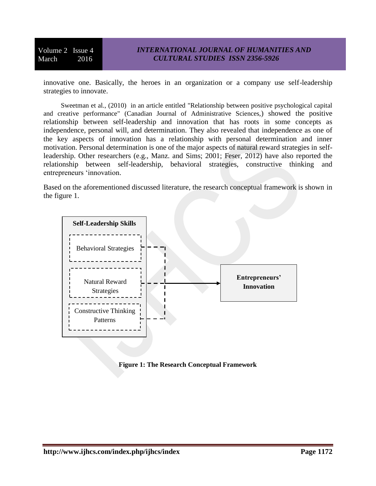innovative one. Basically, the heroes in an organization or a company use self-leadership strategies to innovate.

Sweetman et al., (2010) in an article entitled "Relationship between positive psychological capital and creative performance" (Canadian Journal of Administrative Sciences,) showed the positive relationship between self-leadership and innovation that has roots in some concepts as independence, personal will, and determination. They also revealed that independence as one of the key aspects of innovation has a relationship with personal determination and inner motivation. Personal determination is one of the major aspects of natural reward strategies in selfleadership. Other researchers (e.g., Manz. and Sims; 2001; Feser, 2012) have also reported the relationship between self-leadership, behavioral strategies, constructive thinking and entrepreneurs 'innovation.

Based on the aforementioned discussed literature, the research conceptual framework is shown in the figure 1.



**Figure 1: The Research Conceptual Framework**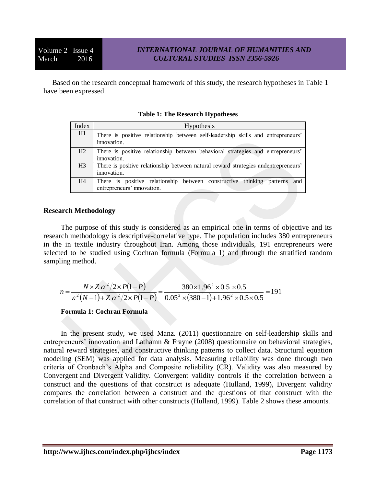Based on the research conceptual framework of this study, the research hypotheses in Table 1 have been expressed.

| Index          | <b>Hypothesis</b>                                                                                       |  |  |  |  |  |
|----------------|---------------------------------------------------------------------------------------------------------|--|--|--|--|--|
| H1             | There is positive relationship between self-leadership skills and entrepreneurs'<br>innovation.         |  |  |  |  |  |
| H2             | There is positive relationship between behavioral strategies and entrepreneurs'<br>innovation.          |  |  |  |  |  |
| H <sub>3</sub> | There is positive relationship between natural reward strategies and entrepreneurs'<br>innovation.      |  |  |  |  |  |
| H4             | There is positive relationship between constructive thinking patterns and<br>entrepreneurs' innovation. |  |  |  |  |  |

#### **Table 1: The Research Hypotheses**

### **Research Methodology**

The purpose of this study is considered as an empirical one in terms of objective and its research methodology is descriptive-correlative type. The population includes 380 entrepreneurs in the in textile industry throughout Iran. Among those individuals, 191 entrepreneurs were selected to be studied using Cochran formula (Formula 1) and through the stratified random sampling method.

$$
n = \frac{N \times Z \alpha^2 / 2 \times P(1 - P)}{\varepsilon^2 (N - 1) + Z \alpha^2 / 2 \times P(1 - P)} = \frac{380 \times 1.96^2 \times 0.5 \times 0.5}{0.05^2 \times (380 - 1) + 1.96^2 \times 0.5 \times 0.5} = 191
$$

**Formula 1: Cochran Formula**

In the present study, we used Manz. (2011) questionnaire on self-leadership skills and entrepreneurs' innovation and Lathamn & Frayne (2008) questionnaire on behavioral strategies, natural reward strategies, and constructive thinking patterns to collect data. Structural equation modeling (SEM) was applied for data analysis. Measuring reliability was done through two criteria of Cronbach's Alpha and Composite reliability (CR). Validity was also measured by Convergent and Divergent Validity. Convergent validity controls if the correlation between a construct and the questions of that construct is adequate (Hulland, 1999), Divergent validity compares the correlation between a construct and the questions of that construct with the correlation of that construct with other constructs (Hulland, 1999). Table 2 shows these amounts.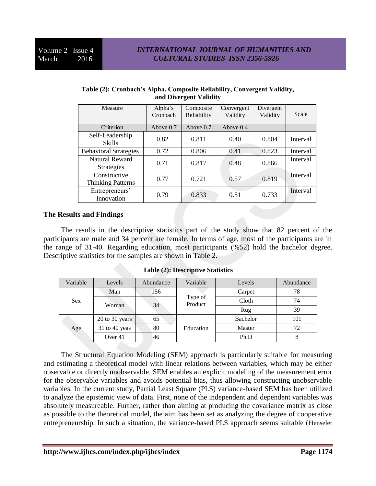| Measure                                  | Alpha's<br>Cronbach | Composite<br>Reliability | Convergent<br>Validity | Divergent<br>Validity | Scale    |
|------------------------------------------|---------------------|--------------------------|------------------------|-----------------------|----------|
| Criterion                                | Above 0.7           | Above $0.7$              | Above $0.4$            |                       |          |
| Self-Leadership<br><b>Skills</b>         | 0.82                | 0.811                    | 0.40                   | 0.804                 | Interval |
| <b>Behavioral Strategies</b>             | 0.72                | 0.806                    | 0.41                   | 0.823                 | Interval |
| Natural Reward<br>Strategies             | 0.71                | 0.817                    | 0.48                   | 0.866                 | Interval |
| Constructive<br><b>Thinking Patterns</b> | 0.77                | 0.721                    | 0.57                   | 0.819                 | Interval |
| Entrepreneurs'<br>Innovation             | 0.79                | 0.833                    | 0.51                   | 0.733                 | Interval |

### **Table (2): Cronbach's Alpha, Composite Reliability, Convergent Validity, and Divergent Validity**

# **The Results and Findings**

The results in the descriptive statistics part of the study show that 82 percent of the participants are male and 34 percent are female. In terms of age, most of the participants are in the range of 31-40. Regarding education, most participants (%52) hold the bachelor degree. Descriptive statistics for the samples are shown in Table 2.

**Table (2): Descriptive Statistics** 

| Variable   | Levels         | Abundance | Variable           | Levels          | Abundance |
|------------|----------------|-----------|--------------------|-----------------|-----------|
| <b>Sex</b> | Man            | 156       |                    | Carpet          | 78        |
|            | Woman          | 34        | Type of<br>Product | Cloth           | 74        |
|            |                |           |                    | Rug             | 39        |
| Age        | 20 to 30 years | 65        |                    | <b>Bachelor</b> | 101       |
|            | 31 to 40 yeas  | 80        | Education          | Master          | 72        |
|            | Over 41        | 46        |                    | Ph.D            | ◠         |

The Structural Equation Modeling (SEM) approach is particularly suitable for measuring and estimating a theoretical model with linear relations between variables, which may be either observable or directly unobservable. SEM enables an explicit modeling of the measurement error for the observable variables and avoids potential bias, thus allowing constructing unobservable variables. In the current study, Partial Least Square (PLS) variance-based SEM has been utilized to analyze the epistemic view of data. First, none of the independent and dependent variables was absolutely measureable. Further, rather than aiming at producing the covariance matrix as close as possible to the theoretical model, the aim has been set as analyzing the degree of cooperative entrepreneurship. In such a situation, the variance-based PLS approach seems suitable (Henseler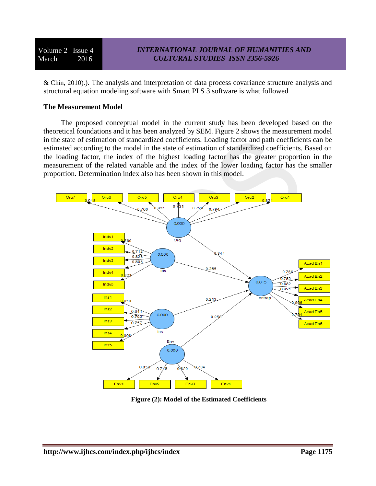& Chin, 2010).). The analysis and interpretation of data process covariance structure analysis and structural equation modeling software with Smart PLS 3 software is what followed

## **The Measurement Model**

The proposed conceptual model in the current study has been developed based on the theoretical foundations and it has been analyzed by SEM. Figure 2 shows the measurement model in the state of estimation of standardized coefficients. Loading factor and path coefficients can be estimated according to the model in the state of estimation of standardized coefficients. Based on the loading factor, the index of the highest loading factor has the greater proportion in the measurement of the related variable and the index of the lower loading factor has the smaller proportion. Determination index also has been shown in this model.



**Figure (2): Model of the Estimated Coefficients**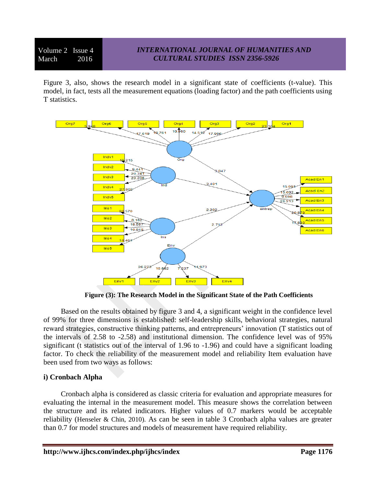# *INTERNATIONAL JOURNAL OF HUMANITIES AND CULTURAL STUDIES ISSN 2356-5926*

Figure 3, also, shows the research model in a significant state of coefficients (t-value). This model, in fact, tests all the measurement equations (loading factor) and the path coefficients using T statistics.



**Figure (3): The Research Model in the Significant State of the Path Coefficients** 

Based on the results obtained by figure 3 and 4, a significant weight in the confidence level of 99% for three dimensions is established: self-leadership skills, behavioral strategies, natural reward strategies, constructive thinking patterns, and entrepreneurs' innovation (T statistics out of the intervals of 2.58 to -2.58) and institutional dimension. The confidence level was of 95% significant (t statistics out of the interval of 1.96 to -1.96) and could have a significant loading factor. To check the reliability of the measurement model and reliability Item evaluation have been used from two ways as follows:

### **i) Cronbach Alpha**

Cronbach alpha is considered as classic criteria for evaluation and appropriate measures for evaluating the internal in the measurement model. This measure shows the correlation between the structure and its related indicators. Higher values of 0.7 markers would be acceptable reliability (Henseler & Chin, 2010). As can be seen in table 3 Cronbach alpha values are greater than 0.7 for model structures and models of measurement have required reliability.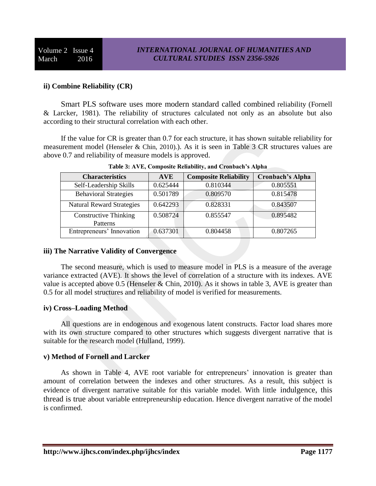# **ii) Combine Reliability (CR)**

Smart PLS software uses more modern standard called combined reliability (Fornell & Larcker, 1981). The reliability of structures calculated not only as an absolute but also according to their structural correlation with each other.

If the value for CR is greater than 0.7 for each structure, it has shown suitable reliability for measurement model (Henseler & Chin, 2010).). As it is seen in Table 3 CR structures values are above 0.7 and reliability of measure models is approved.

| <b>Characteristics</b>                   | <b>AVE</b> | <b>Composite Reliability</b> | <b>Cronbach's Alpha</b> |
|------------------------------------------|------------|------------------------------|-------------------------|
| Self-Leadership Skills                   | 0.625444   | 0.810344                     | 0.805551                |
| <b>Behavioral Strategies</b>             | 0.501789   | 0.809570                     | 0.815478                |
| <b>Natural Reward Strategies</b>         | 0.642293   | 0.828331                     | 0.843507                |
| <b>Constructive Thinking</b><br>Patterns | 0.508724   | 0.855547                     | 0.895482                |
| Entrepreneurs' Innovation                | 0.637301   | 0.804458                     | 0.807265                |

**Table 3: AVE, Composite Reliability, and Cronbach's Alpha** 

## **iii) The Narrative Validity of Convergence**

The second measure, which is used to measure model in PLS is a measure of the average variance extracted (AVE). It shows the level of correlation of a structure with its indexes. AVE value is accepted above  $0.5$  (Henseler & Chin, 2010). As it shows in table 3, AVE is greater than 0.5 for all model structures and reliability of model is verified for measurements.

# **iv) Cross–Loading Method**

All questions are in endogenous and exogenous latent constructs. Factor load shares more with its own structure compared to other structures which suggests divergent narrative that is suitable for the research model (Hulland, 1999).

# **v) Method of Fornell and Larcker**

As shown in Table 4, AVE root variable for entrepreneurs' innovation is greater than amount of correlation between the indexes and other structures. As a result, this subject is evidence of divergent narrative suitable for this variable model. With little indulgence, this thread is true about variable entrepreneurship education. Hence divergent narrative of the model is confirmed.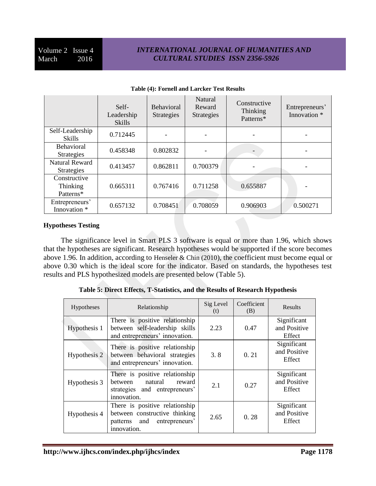# *INTERNATIONAL JOURNAL OF HUMANITIES AND CULTURAL STUDIES ISSN 2356-5926*

|                                            | Self-<br>Leadership<br><b>Skills</b> | <b>Behavioral</b><br><b>Strategies</b> | Natural<br>Reward<br>Strategies | Constructive<br>Thinking<br>Patterns* | Entrepreneurs'<br>Innovation * |
|--------------------------------------------|--------------------------------------|----------------------------------------|---------------------------------|---------------------------------------|--------------------------------|
| Self-Leadership<br><b>Skills</b>           | 0.712445                             |                                        |                                 |                                       |                                |
| <b>Behavioral</b><br><b>Strategies</b>     | 0.458348                             | 0.802832                               |                                 |                                       |                                |
| <b>Natural Reward</b><br><b>Strategies</b> | 0.413457                             | 0.862811                               | 0.700379                        |                                       |                                |
| Constructive<br>Thinking<br>Patterns*      | 0.665311                             | 0.767416                               | 0.711258                        | 0.655887                              |                                |
| Entrepreneurs'<br>Innovation *             | 0.657132                             | 0.708451                               | 0.708059                        | 0.906903                              | 0.500271                       |

#### **Table (4): Fornell and Larcker Test Results**

### **Hypotheses Testing**

The significance level in Smart PLS 3 software is equal or more than 1.96, which shows that the hypotheses are significant. Research hypotheses would be supported if the score becomes above 1.96. In addition, according to Henseler & Chin (2010), the coefficient must become equal or above 0.30 which is the ideal score for the indicator. Based on standards, the hypotheses test results and PLS hypothesized models are presented below (Table 5).

| Hypotheses   | Relationship                                                                                                  | Sig Level<br>(t) | Coefficient<br>(B) | Results                               |
|--------------|---------------------------------------------------------------------------------------------------------------|------------------|--------------------|---------------------------------------|
| Hypothesis 1 | There is positive relationship<br>between self-leadership skills<br>and entrepreneurs' innovation.            | 2.23             | 0.47               | Significant<br>and Positive<br>Effect |
| Hypothesis 2 | There is positive relationship<br>between behavioral strategies<br>and entrepreneurs' innovation.             | 3.8              | 0.21               | Significant<br>and Positive<br>Effect |
| Hypothesis 3 | There is positive relationship<br>between natural<br>reward<br>strategies and entrepreneurs'<br>innovation.   | 2.1              | 0.27               | Significant<br>and Positive<br>Effect |
| Hypothesis 4 | There is positive relationship<br>between constructive thinking<br>patterns and entrepreneurs'<br>innovation. | 2.65             | 0.28               | Significant<br>and Positive<br>Effect |

**Table 5: Direct Effects, T-Statistics, and the Results of Research Hypothesis**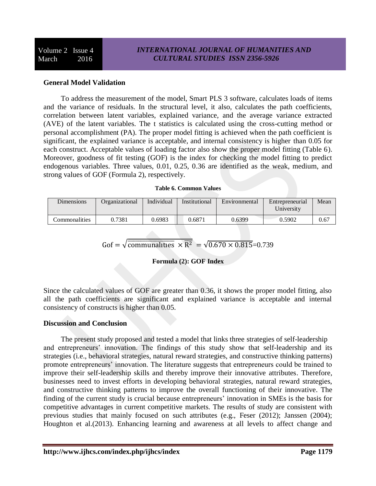## **General Model Validation**

To address the measurement of the model, Smart PLS 3 software, calculates loads of items and the variance of residuals. In the structural level, it also, calculates the path coefficients, correlation between latent variables, explained variance, and the average variance extracted (AVE) of the latent variables. The t statistics is calculated using the cross-cutting method or personal accomplishment (PA). The proper model fitting is achieved when the path coefficient is significant, the explained variance is acceptable, and internal consistency is higher than 0.05 for each construct. Acceptable values of loading factor also show the proper model fitting (Table 6). Moreover, goodness of fit testing (GOF) is the index for checking the model fitting to predict endogenous variables. Three values, 0.01, 0.25, 0.36 are identified as the weak, medium, and strong values of GOF (Formula 2), respectively.

#### **Table 6. Common Values**

| <b>Dimensions</b> | Organizational | Individual | Institutional | Environmental | Entrepreneurial<br>University | Mean |
|-------------------|----------------|------------|---------------|---------------|-------------------------------|------|
| Commonalities     | 0.7381         | 0.6983     | 0.6871        | 0.6399        | 0.5902                        | 0.67 |

Gof =  $\sqrt{\text{communalities}} \times \overline{\mathbb{R}^2} = \sqrt{0.670 \times 0.815} = 0.739$ 

### **Formula (2): GOF Index**

Since the calculated values of GOF are greater than 0.36, it shows the proper model fitting, also all the path coefficients are significant and explained variance is acceptable and internal consistency of constructs is higher than 0.05.

### **Discussion and Conclusion**

The present study proposed and tested a model that links three strategies of self-leadership and entrepreneurs' innovation. The findings of this study show that self-leadership and its strategies (i.e., behavioral strategies, natural reward strategies, and constructive thinking patterns) promote entrepreneurs' innovation. The literature suggests that entrepreneurs could be trained to improve their self-leadership skills and thereby improve their innovative attributes. Therefore, businesses need to invest efforts in developing behavioral strategies, natural reward strategies, and constructive thinking patterns to improve the overall functioning of their innovative. The finding of the current study is crucial because entrepreneurs' innovation in SMEs is the basis for competitive advantages in current competitive markets. The results of study are consistent with previous studies that mainly focused on such attributes (e.g., Feser (2012); Janssen (2004); Houghton et al.(2013). Enhancing learning and awareness at all levels to affect change and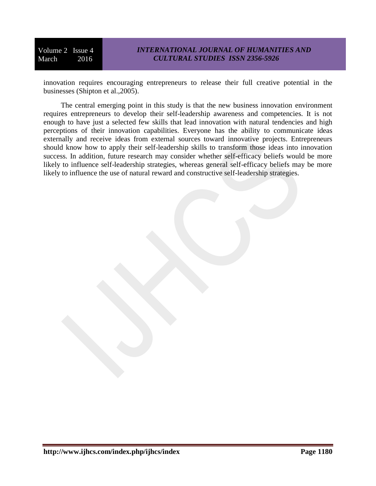innovation requires encouraging entrepreneurs to release their full creative potential in the businesses (Shipton et al.,2005).

The central emerging point in this study is that the new business innovation environment requires entrepreneurs to develop their self-leadership awareness and competencies. It is not enough to have just a selected few skills that lead innovation with natural tendencies and high perceptions of their innovation capabilities. Everyone has the ability to communicate ideas externally and receive ideas from external sources toward innovative projects. Entrepreneurs should know how to apply their self-leadership skills to transform those ideas into innovation success. In addition, future research may consider whether self-efficacy beliefs would be more likely to influence self-leadership strategies, whereas general self-efficacy beliefs may be more likely to influence the use of natural reward and constructive self-leadership strategies.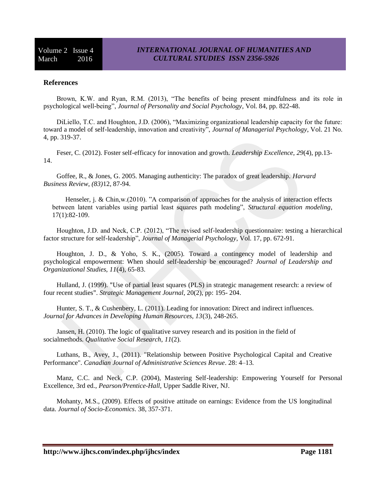#### **References**

Brown, K.W. and Ryan, R.M. (2013), "The benefits of being present mindfulness and its role in psychological well-being", *Journal of Personality and Social Psychology*, Vol. 84, pp. 822-48.

DiLiello, T.C. and Houghton, J.D. (2006), "Maximizing organizational leadership capacity for the future: toward a model of self-leadership, innovation and creativity", *Journal of Managerial Psychology*, Vol. 21 No. 4, pp. 319-37.

Feser, C. (2012). Foster self-efficacy for innovation and growth. *Leadership Excellence, 29*(4), pp.13- 14.

Goffee, R., & Jones, G. 2005. Managing authenticity: The paradox of great leadership. *Harvard Business Review*, *(83)*12, 87-94.

Henseler, j. & Chin,w.(2010). "A comparison of approaches for the analysis of interaction effects between latent variables using partial least squares path modeling", *Structural equation modeling*, 17(1):82-109.

Houghton, J.D. and Neck, C.P. (2012), "The revised self-leadership questionnaire: testing a hierarchical factor structure for self-leadership", *Journal of Managerial Psychology*, Vol. 17, pp. 672-91.

Houghton, J. D., & Yoho, S. K., (2005). Toward a contingency model of leadership and psychological empowerment: When should self-leadership be encouraged? *Journal of Leadership and Organizational Studies, 11*(4), 65-83.

Hulland, J. (1999). "Use of partial least squares (PLS) in strategic management research: a review of four recent studies". *Strategic Management Journal*, 20(2), pp: 195- 204.

Hunter, S. T., & Cushenbery, L. (2011). Leading for innovation: Direct and indirect influences. *Journal for Advances in Developing Human Resources, 13*(3), 248-265.

Jansen, H. (2010). The logic of qualitative survey research and its position in the field of socialmethods. *Qualitative Social Research*, *11*(2).

Luthans, B., Avey, J., (2011). "Relationship between Positive Psychological Capital and Creative Performance". *Canadian Journal of Administrative Sciences Revue*. 28: 4–13.

Manz, C.C. and Neck, C.P. (2004), Mastering Self-leadership: Empowering Yourself for Personal Excellence, 3rd ed., *Pearson/Prentice-Hall*, Upper Saddle River, NJ.

Mohanty, M.S., (2009). Effects of positive attitude on earnings: Evidence from the US longitudinal data. *Journal of Socio-Economics*. 38, 357-371.